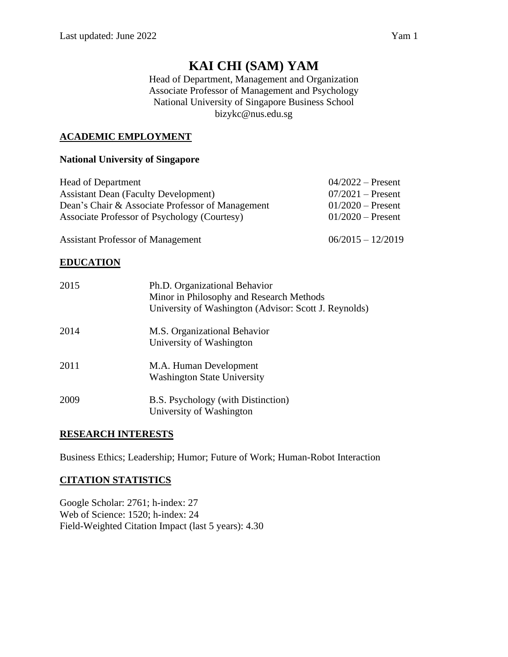# **KAI CHI (SAM) YAM**

Head of Department, Management and Organization Associate Professor of Management and Psychology National University of Singapore Business School bizykc@nus.edu.sg

# **ACADEMIC EMPLOYMENT**

# **National University of Singapore**

| <b>Head of Department</b>                        | $04/2022$ – Present |
|--------------------------------------------------|---------------------|
| <b>Assistant Dean (Faculty Development)</b>      | $07/2021$ – Present |
| Dean's Chair & Associate Professor of Management | $01/2020$ – Present |
| Associate Professor of Psychology (Courtesy)     | $01/2020$ – Present |
|                                                  |                     |

Assistant Professor of Management 06/2015 – 12/2019

# **EDUCATION**

| 2015 | Ph.D. Organizational Behavior<br>Minor in Philosophy and Research Methods<br>University of Washington (Advisor: Scott J. Reynolds) |
|------|------------------------------------------------------------------------------------------------------------------------------------|
| 2014 | M.S. Organizational Behavior<br>University of Washington                                                                           |
| 2011 | M.A. Human Development<br><b>Washington State University</b>                                                                       |
| 2009 | B.S. Psychology (with Distinction)<br>University of Washington                                                                     |

# **RESEARCH INTERESTS**

Business Ethics; Leadership; Humor; Future of Work; Human-Robot Interaction

# **CITATION STATISTICS**

Google Scholar: 2761; h-index: 27 Web of Science: 1520; h-index: 24 Field-Weighted Citation Impact (last 5 years): 4.30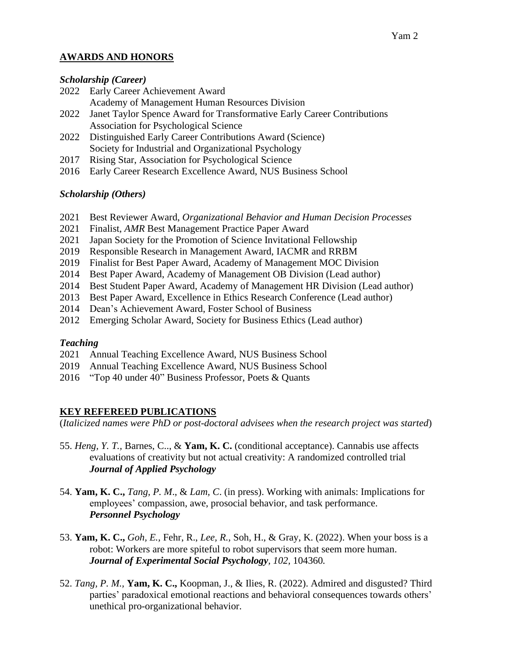# **AWARDS AND HONORS**

### *Scholarship (Career)*

- 2022 Early Career Achievement Award
	- Academy of Management Human Resources Division
- 2022 Janet Taylor Spence Award for Transformative Early Career Contributions Association for Psychological Science
- 2022 Distinguished Early Career Contributions Award (Science) Society for Industrial and Organizational Psychology
- 2017 Rising Star, Association for Psychological Science
- 2016 Early Career Research Excellence Award, NUS Business School

# *Scholarship (Others)*

- 2021 Best Reviewer Award, *Organizational Behavior and Human Decision Processes*
- 2021 Finalist, *AMR* Best Management Practice Paper Award
- 2021 Japan Society for the Promotion of Science Invitational Fellowship
- 2019 Responsible Research in Management Award, IACMR and RRBM
- 2019 Finalist for Best Paper Award, Academy of Management MOC Division
- 2014 Best Paper Award, Academy of Management OB Division (Lead author)
- 2014 Best Student Paper Award, Academy of Management HR Division (Lead author)
- 2013 Best Paper Award, Excellence in Ethics Research Conference (Lead author)
- 2014 Dean's Achievement Award, Foster School of Business
- 2012 Emerging Scholar Award, Society for Business Ethics (Lead author)

# *Teaching*

- 2021 Annual Teaching Excellence Award, NUS Business School
- 2019 Annual Teaching Excellence Award, NUS Business School
- 2016 "Top 40 under 40" Business Professor, Poets & Quants

# **KEY REFEREED PUBLICATIONS**

(*Italicized names were PhD or post-doctoral advisees when the research project was started*)

- 55. *Heng, Y. T.,* Barnes, C.., & **Yam, K. C.** (conditional acceptance). Cannabis use affects evaluations of creativity but not actual creativity: A randomized controlled trial *Journal of Applied Psychology*
- 54. **Yam, K. C.,** *Tang, P. M*., & *Lam, C*. (in press). Working with animals: Implications for employees' compassion, awe, prosocial behavior, and task performance. *Personnel Psychology*
- 53. **Yam, K. C.,** *Goh, E.,* Fehr, R., *Lee, R.,* Soh, H., & Gray, K. (2022). When your boss is a robot: Workers are more spiteful to robot supervisors that seem more human. *Journal of Experimental Social Psychology, 102,* 104360*.*
- 52. *Tang, P. M.,* **Yam, K. C.,** Koopman, J., & Ilies, R. (2022). Admired and disgusted? Third parties' paradoxical emotional reactions and behavioral consequences towards others' unethical pro-organizational behavior.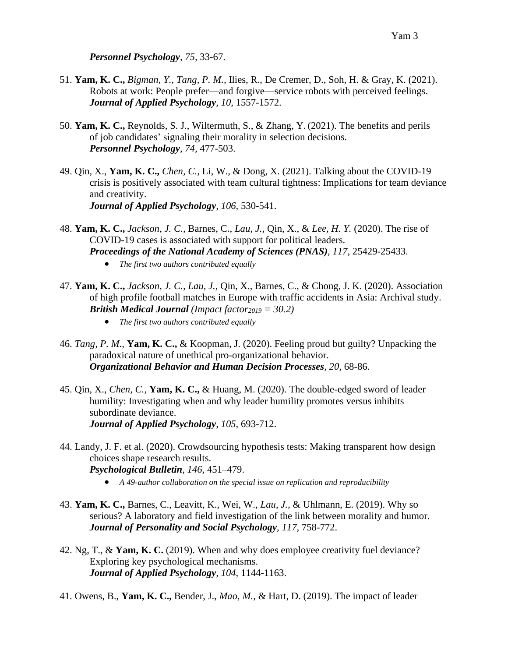*Personnel Psychology, 75,* 33-67.

- 51. **Yam, K. C.,** *Bigman, Y., Tang, P. M.,* Ilies, R., De Cremer, D., Soh, H. & Gray, K. (2021). Robots at work: People prefer—and forgive—service robots with perceived feelings. *Journal of Applied Psychology, 10,* 1557-1572.
- 50. **Yam, K. C.,** Reynolds, S. J., Wiltermuth, S., & Zhang, Y. (2021). The benefits and perils of job candidates' signaling their morality in selection decisions. *Personnel Psychology, 74,* 477-503.
- 49. Qin, X., **Yam, K. C.,** *Chen, C.,* Li, W., & Dong, X. (2021). Talking about the COVID-19 crisis is positively associated with team cultural tightness: Implications for team deviance and creativity. *Journal of Applied Psychology, 106,* 530-541.
- 48. **Yam, K. C.,** *Jackson, J. C.,* Barnes, C., *Lau, J.,* Qin, X., & *Lee, H. Y.* (2020). The rise of COVID-19 cases is associated with support for political leaders. *Proceedings of the National Academy of Sciences (PNAS), 117,* 25429-25433.
	- *The first two authors contributed equally*
- 47. **Yam, K. C.,** *Jackson, J. C., Lau, J.,* Qin, X., Barnes, C., & Chong, J. K. (2020). Association of high profile football matches in Europe with traffic accidents in Asia: Archival study. *British Medical Journal (Impact factor<sup>2019</sup> = 30.2)*
	- *The first two authors contributed equally*
- 46. *Tang, P. M.,* **Yam, K. C.,** & Koopman, J. (2020). Feeling proud but guilty? Unpacking the paradoxical nature of unethical pro-organizational behavior. *Organizational Behavior and Human Decision Processes, 20,* 68-86.
- 45. Qin, X., *Chen, C.,* **Yam, K. C.,** & Huang, M. (2020). The double-edged sword of leader humility: Investigating when and why leader humility promotes versus inhibits subordinate deviance. *Journal of Applied Psychology, 105*, 693-712.
- 44. Landy, J. F. et al. (2020). Crowdsourcing hypothesis tests: Making transparent how design choices shape research results. *Psychological Bulletin, 146,* 451–479.
	- *A 49-author collaboration on the special issue on replication and reproducibility*
- 43. **Yam, K. C.,** Barnes, C., Leavitt, K., Wei, W., *Lau, J.,* & Uhlmann, E. (2019). Why so serious? A laboratory and field investigation of the link between morality and humor. *Journal of Personality and Social Psychology, 117,* 758-772.
- 42. Ng, T., & **Yam, K. C.** (2019). When and why does employee creativity fuel deviance? Exploring key psychological mechanisms. *Journal of Applied Psychology, 104*, 1144-1163.
- 41. Owens, B., **Yam, K. C.,** Bender, J., *Mao, M.,* & Hart, D. (2019). The impact of leader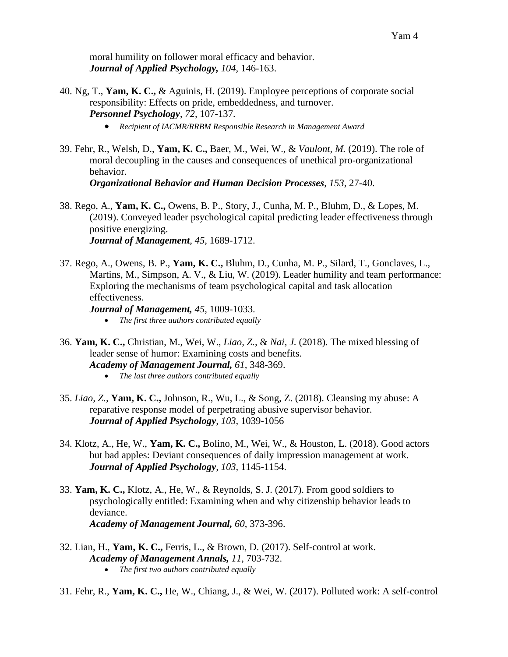moral humility on follower moral efficacy and behavior. *Journal of Applied Psychology, 104,* 146-163.

- 40. Ng, T., **Yam, K. C.,** & Aguinis, H. (2019). Employee perceptions of corporate social responsibility: Effects on pride, embeddedness, and turnover. *Personnel Psychology*, *72,* 107-137.
	- *Recipient of IACMR/RRBM Responsible Research in Management Award*
- 39. Fehr, R., Welsh, D., **Yam, K. C.,** Baer, M., Wei, W., & *Vaulont, M.* (2019). The role of moral decoupling in the causes and consequences of unethical pro-organizational behavior. *Organizational Behavior and Human Decision Processes*, *153*, 27-40.

38. Rego, A., **Yam, K. C.,** Owens, B. P., Story, J., Cunha, M. P., Bluhm, D., & Lopes, M. (2019). Conveyed leader psychological capital predicting leader effectiveness through positive energizing. *Journal of Management, 45,* 1689-1712.

37. Rego, A., Owens, B. P., **Yam, K. C.,** Bluhm, D., Cunha, M. P., Silard, T., Gonclaves, L., Martins, M., Simpson, A. V., & Liu, W. (2019). Leader humility and team performance: Exploring the mechanisms of team psychological capital and task allocation effectiveness.

*Journal of Management, 45,* 1009-1033.

- *The first three authors contributed equally*
- 36. **Yam, K. C.,** Christian, M., Wei, W., *Liao, Z.,* & *Nai, J.* (2018). The mixed blessing of leader sense of humor: Examining costs and benefits. *Academy of Management Journal, 61,* 348-369.
	- *The last three authors contributed equally*
- 35. *Liao, Z.,* **Yam, K. C.,** Johnson, R., Wu, L., & Song, Z. (2018). Cleansing my abuse: A reparative response model of perpetrating abusive supervisor behavior. *Journal of Applied Psychology, 103,* 1039-1056
- 34. Klotz, A., He, W., **Yam, K. C.,** Bolino, M., Wei, W., & Houston, L. (2018). Good actors but bad apples: Deviant consequences of daily impression management at work. *Journal of Applied Psychology, 103,* 1145-1154.
- 33. **Yam, K. C.,** Klotz, A., He, W., & Reynolds, S. J. (2017). From good soldiers to psychologically entitled: Examining when and why citizenship behavior leads to deviance. *Academy of Management Journal, 60*, 373-396.
- 32. Lian, H., **Yam, K. C.,** Ferris, L., & Brown, D. (2017). Self-control at work. *Academy of Management Annals, 11,* 703-732. • *The first two authors contributed equally*
- 31. Fehr, R., **Yam, K. C.,** He, W., Chiang, J., & Wei, W. (2017). Polluted work: A self-control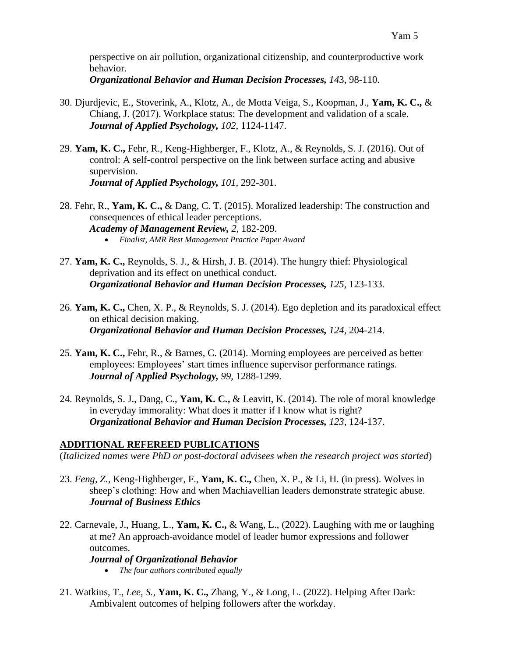perspective on air pollution, organizational citizenship, and counterproductive work behavior.

*Organizational Behavior and Human Decision Processes, 14*3, 98-110.

- 30. Djurdjevic, E., Stoverink, A., Klotz, A., de Motta Veiga, S., Koopman, J., **Yam, K. C.,** & Chiang, J. (2017). Workplace status: The development and validation of a scale. *Journal of Applied Psychology, 102*, 1124-1147.
- 29. **Yam, K. C.,** Fehr, R., Keng-Highberger, F., Klotz, A., & Reynolds, S. J. (2016). Out of control: A self-control perspective on the link between surface acting and abusive supervision. *Journal of Applied Psychology, 101,* 292-301.
- 28. Fehr, R., **Yam, K. C.,** & Dang, C. T. (2015). Moralized leadership: The construction and consequences of ethical leader perceptions. *Academy of Management Review, 2,* 182-209.
	- *Finalist, AMR Best Management Practice Paper Award*
- 27. **Yam, K. C.,** Reynolds, S. J., & Hirsh, J. B. (2014). The hungry thief: Physiological deprivation and its effect on unethical conduct. *Organizational Behavior and Human Decision Processes, 125,* 123-133.
- 26. **Yam, K. C.,** Chen, X. P., & Reynolds, S. J. (2014). Ego depletion and its paradoxical effect on ethical decision making. *Organizational Behavior and Human Decision Processes, 124,* 204-214.
- 25. **Yam, K. C.,** Fehr, R., & Barnes, C. (2014). Morning employees are perceived as better employees: Employees' start times influence supervisor performance ratings. *Journal of Applied Psychology, 99,* 1288-1299.
- 24. Reynolds, S. J., Dang, C., **Yam, K. C.,** & Leavitt, K. (2014). The role of moral knowledge in everyday immorality: What does it matter if I know what is right? *Organizational Behavior and Human Decision Processes, 123,* 124-137.

# **ADDITIONAL REFEREED PUBLICATIONS**

(*Italicized names were PhD or post-doctoral advisees when the research project was started*)

- 23. *Feng, Z.,* Keng-Highberger, F., **Yam, K. C.,** Chen, X. P., & Li, H. (in press). Wolves in sheep's clothing: How and when Machiavellian leaders demonstrate strategic abuse. *Journal of Business Ethics*
- 22. Carnevale, J., Huang, L., **Yam, K. C.,** & Wang, L., (2022). Laughing with me or laughing at me? An approach-avoidance model of leader humor expressions and follower outcomes.

# *Journal of Organizational Behavior*

- *The four authors contributed equally*
- 21. Watkins, T., *Lee, S.,* **Yam, K. C.,** Zhang, Y., & Long, L. (2022). Helping After Dark: Ambivalent outcomes of helping followers after the workday.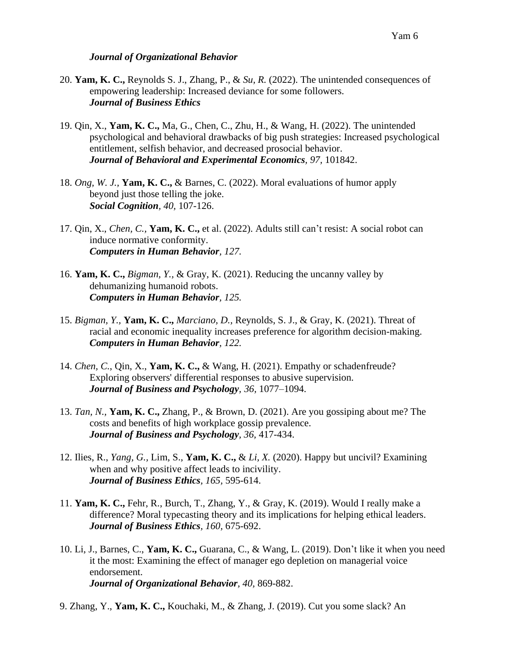#### Yam 6

#### *Journal of Organizational Behavior*

- 20. **Yam, K. C.,** Reynolds S. J., Zhang, P., & *Su, R.* (2022). The unintended consequences of empowering leadership: Increased deviance for some followers. *Journal of Business Ethics*
- 19. Qin, X., **Yam, K. C.,** Ma, G., Chen, C., Zhu, H., & Wang, H. (2022). The unintended psychological and behavioral drawbacks of big push strategies: Increased psychological entitlement, selfish behavior, and decreased prosocial behavior. *Journal of Behavioral and Experimental Economics, 97,* 101842.
- 18. *Ong, W. J.,* **Yam, K. C.,** & Barnes, C. (2022). Moral evaluations of humor apply beyond just those telling the joke. *Social Cognition, 40,* 107-126.
- 17. Qin, X., *Chen, C.,* **Yam, K. C.,** et al. (2022). Adults still can't resist: A social robot can induce normative conformity. *Computers in Human Behavior, 127.*
- 16. **Yam, K. C.,** *Bigman, Y.,* & Gray, K. (2021). Reducing the uncanny valley by dehumanizing humanoid robots. *Computers in Human Behavior, 125.*
- 15. *Bigman, Y.,* **Yam, K. C.,** *Marciano, D.,* Reynolds, S. J., & Gray, K. (2021). Threat of racial and economic inequality increases preference for algorithm decision-making. *Computers in Human Behavior, 122.*
- 14. *Chen, C.*, Qin, X., **Yam, K. C.,** & Wang, H. (2021). Empathy or schadenfreude? Exploring observers' differential responses to abusive supervision. *Journal of Business and Psychology, 36,* 1077–1094.
- 13. *Tan, N.,* **Yam, K. C.,** Zhang, P., & Brown, D. (2021). Are you gossiping about me? The costs and benefits of high workplace gossip prevalence. *Journal of Business and Psychology, 36,* 417-434.
- 12. Ilies, R., *Yang, G.,* Lim, S., **Yam, K. C.,** & *Li, X.* (2020). Happy but uncivil? Examining when and why positive affect leads to incivility. *Journal of Business Ethics, 165,* 595-614.
- 11. **Yam, K. C.,** Fehr, R., Burch, T., Zhang, Y., & Gray, K. (2019). Would I really make a difference? Moral typecasting theory and its implications for helping ethical leaders. *Journal of Business Ethics, 160,* 675-692.
- 10. Li, J., Barnes, C., **Yam, K. C.,** Guarana, C., & Wang, L. (2019). Don't like it when you need it the most: Examining the effect of manager ego depletion on managerial voice endorsement. *Journal of Organizational Behavior, 40,* 869-882.
- 9. Zhang, Y., **Yam, K. C.,** Kouchaki, M., & Zhang, J. (2019). Cut you some slack? An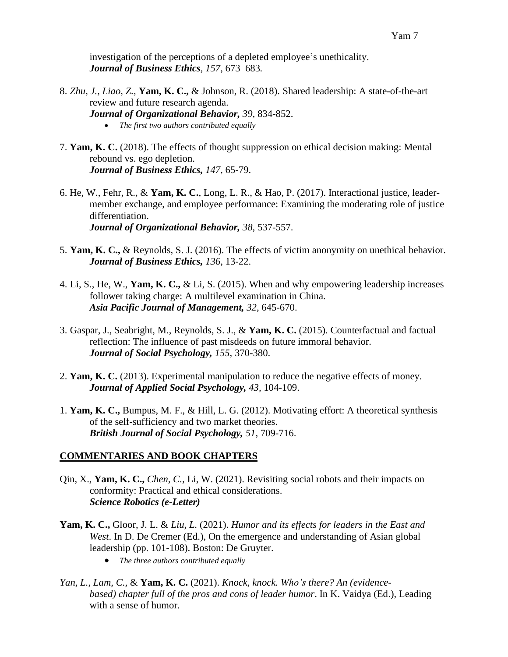investigation of the perceptions of a depleted employee's unethicality. *Journal of Business Ethics, 157,* 673–683*.*

- 8. *Zhu, J., Liao, Z.,* **Yam, K. C.,** & Johnson, R. (2018). Shared leadership: A state-of-the-art review and future research agenda. *Journal of Organizational Behavior, 39,* 834-852. • *The first two authors contributed equally*
- 7. **Yam, K. C.** (2018). The effects of thought suppression on ethical decision making: Mental rebound vs. ego depletion. *Journal of Business Ethics, 147*, 65-79.
- 6. He, W., Fehr, R., & **Yam, K. C.**, Long, L. R., & Hao, P. (2017). Interactional justice, leadermember exchange, and employee performance: Examining the moderating role of justice differentiation. *Journal of Organizational Behavior, 38,* 537-557.
- 5. **Yam, K. C.,** & Reynolds, S. J. (2016). The effects of victim anonymity on unethical behavior. *Journal of Business Ethics, 136*, 13-22.
- 4. Li, S., He, W., **Yam, K. C.,** & Li, S. (2015). When and why empowering leadership increases follower taking charge: A multilevel examination in China. *Asia Pacific Journal of Management, 32*, 645-670.
- 3. Gaspar, J., Seabright, M., Reynolds, S. J., & **Yam, K. C.** (2015). Counterfactual and factual reflection: The influence of past misdeeds on future immoral behavior. *Journal of Social Psychology, 155,* 370-380.
- 2. **Yam, K. C.** (2013). Experimental manipulation to reduce the negative effects of money. *Journal of Applied Social Psychology, 43,* 104-109.
- 1. **Yam, K. C.,** Bumpus, M. F., & Hill, L. G. (2012). Motivating effort: A theoretical synthesis of the self-sufficiency and two market theories. *British Journal of Social Psychology, 51*, 709-716.

# **COMMENTARIES AND BOOK CHAPTERS**

- Qin, X., **Yam, K. C.,** *Chen, C.,* Li, W. (2021). Revisiting social robots and their impacts on conformity: Practical and ethical considerations. *Science Robotics (e-Letter)*
- **Yam, K. C.,** Gloor, J. L. & *Liu, L.* (2021). *Humor and its effects for leaders in the East and West*. In D. De Cremer (Ed.), On the emergence and understanding of Asian global leadership (pp. 101-108). Boston: De Gruyter.
	- *The three authors contributed equally*
- *Yan, L., Lam, C.,* & **Yam, K. C.** (2021). *Knock, knock. Who's there? An (evidencebased) chapter full of the pros and cons of leader humor*. In K. Vaidya (Ed.), Leading with a sense of humor.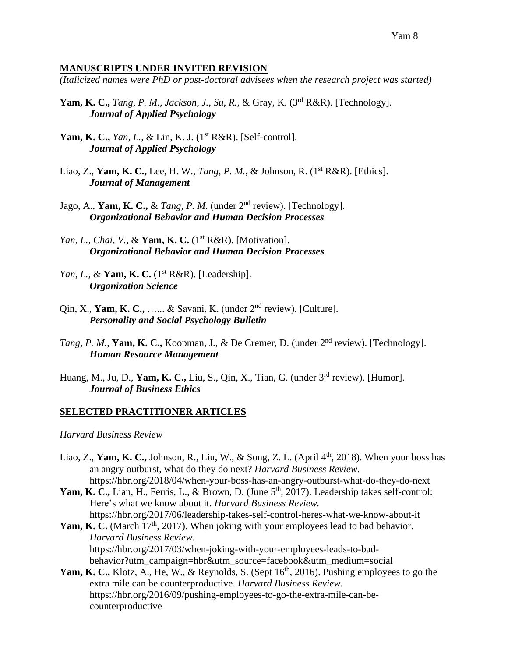#### **MANUSCRIPTS UNDER INVITED REVISION**

*(Italicized names were PhD or post-doctoral advisees when the research project was started)*

- **Yam, K. C.,** *Tang, P. M., Jackson, J., Su, R., & Gray, K.* (3<sup>rd</sup> R&R). [Technology]. *Journal of Applied Psychology*
- **Yam, K. C.,** *Yan, L., & Lin, K. J.* (1<sup>st</sup> R&R). [Self-control]. *Journal of Applied Psychology*
- Liao, Z., **Yam, K. C.,** Lee, H. W., *Tang, P. M.,* & Johnson, R. (1st R&R). [Ethics]. *Journal of Management*
- Jago, A., **Yam, K. C.,** & *Tang, P. M.* (under  $2<sup>nd</sup>$  review). [Technology]. *Organizational Behavior and Human Decision Processes*
- *Yan, L., Chai, V., & Yam, K. C.* (1<sup>st</sup> R&R). [Motivation]. *Organizational Behavior and Human Decision Processes*
- *Yan, L., & Yam, K. C.* (1<sup>st</sup> R&R). [Leadership]. *Organization Science*
- Qin, X., **Yam, K. C.,** …... & Savani, K. (under 2nd review). [Culture]. *Personality and Social Psychology Bulletin*
- *Tang, P. M., Yam, K. C., Koopman, J., & De Cremer, D. (under 2<sup>nd</sup> review). [Technology]. Human Resource Management*
- Huang, M., Ju, D., **Yam, K. C.,** Liu, S., Qin, X., Tian, G. (under 3rd review). [Humor]. *Journal of Business Ethics*

#### **SELECTED PRACTITIONER ARTICLES**

*Harvard Business Review*

- Liao, Z., Yam, K. C., Johnson, R., Liu, W., & Song, Z. L. (April 4<sup>th</sup>, 2018). When your boss has an angry outburst, what do they do next? *Harvard Business Review.* https://hbr.org/2018/04/when-your-boss-has-an-angry-outburst-what-do-they-do-next
- Yam, K. C., Lian, H., Ferris, L., & Brown, D. (June 5<sup>th</sup>, 2017). Leadership takes self-control: Here's what we know about it. *Harvard Business Review.* https://hbr.org/2017/06/leadership-takes-self-control-heres-what-we-know-about-it
- Yam, K. C. (March 17<sup>th</sup>, 2017). When joking with your employees lead to bad behavior. *Harvard Business Review.* https://hbr.org/2017/03/when-joking-with-your-employees-leads-to-badbehavior?utm\_campaign=hbr&utm\_source=facebook&utm\_medium=social
- Yam, K. C., Klotz, A., He, W., & Reynolds, S. (Sept 16<sup>th</sup>, 2016). Pushing employees to go the extra mile can be counterproductive. *Harvard Business Review.* https://hbr.org/2016/09/pushing-employees-to-go-the-extra-mile-can-becounterproductive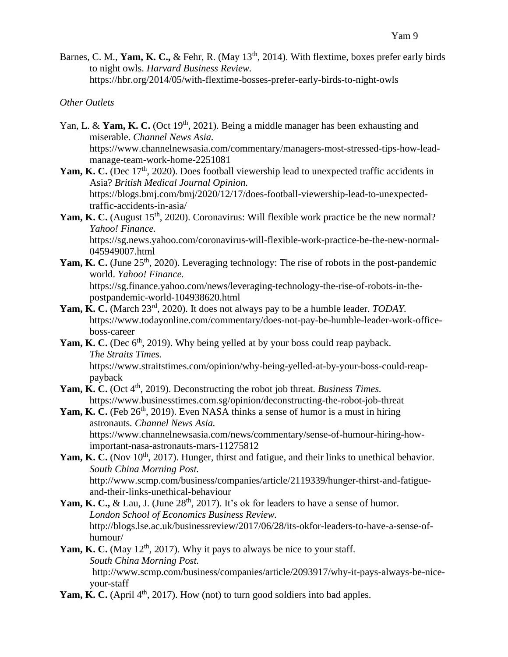Barnes, C. M., Yam, K. C., & Fehr, R. (May 13<sup>th</sup>, 2014). With flextime, boxes prefer early birds to night owls. *Harvard Business Review.* https://hbr.org/2014/05/with-flextime-bosses-prefer-early-birds-to-night-owls

# *Other Outlets*

- Yan, L. & Yam, K. C. (Oct 19<sup>th</sup>, 2021). Being a middle manager has been exhausting and miserable. *Channel News Asia.* https://www.channelnewsasia.com/commentary/managers-most-stressed-tips-how-leadmanage-team-work-home-2251081
- Yam, K. C. (Dec 17<sup>th</sup>, 2020). Does football viewership lead to unexpected traffic accidents in Asia? *British Medical Journal Opinion.* https://blogs.bmj.com/bmj/2020/12/17/does-football-viewership-lead-to-unexpectedtraffic-accidents-in-asia/
- Yam, K. C. (August 15<sup>th</sup>, 2020). Coronavirus: Will flexible work practice be the new normal? *Yahoo! Finance.*  https://sg.news.yahoo.com/coronavirus-will-flexible-work-practice-be-the-new-normal-

045949007.html

Yam, K. C. (June 25<sup>th</sup>, 2020). Leveraging technology: The rise of robots in the post-pandemic world. *Yahoo! Finance.* https://sg.finance.yahoo.com/news/leveraging-technology-the-rise-of-robots-in-the-

postpandemic-world-104938620.html

- Yam, K. C. (March 23<sup>rd</sup>, 2020). It does not always pay to be a humble leader. *TODAY*. https://www.todayonline.com/commentary/does-not-pay-be-humble-leader-work-officeboss-career
- Yam, K. C. (Dec 6<sup>th</sup>, 2019). Why being yelled at by your boss could reap payback. *The Straits Times.*

https://www.straitstimes.com/opinion/why-being-yelled-at-by-your-boss-could-reappayback

- Yam, K. C. (Oct 4<sup>th</sup>, 2019). Deconstructing the robot job threat. *Business Times*. https://www.businesstimes.com.sg/opinion/deconstructing-the-robot-job-threat
- Yam, K. C. (Feb 26<sup>th</sup>, 2019). Even NASA thinks a sense of humor is a must in hiring astronauts*. Channel News Asia.* https://www.channelnewsasia.com/news/commentary/sense-of-humour-hiring-how-
- important-nasa-astronauts-mars-11275812 Yam, K. C. (Nov 10<sup>th</sup>, 2017). Hunger, thirst and fatigue, and their links to unethical behavior. *South China Morning Post.* http://www.scmp.com/business/companies/article/2119339/hunger-thirst-and-fatigue-

and-their-links-unethical-behaviour

- Yam, K. C., & Lau, J. (June 28<sup>th</sup>, 2017). It's ok for leaders to have a sense of humor. *London School of Economics Business Review.* http://blogs.lse.ac.uk/businessreview/2017/06/28/its-okfor-leaders-to-have-a-sense-ofhumour/
- **Yam, K. C.** (May  $12<sup>th</sup>$ , 2017). Why it pays to always be nice to your staff. *South China Morning Post.* http://www.scmp.com/business/companies/article/2093917/why-it-pays-always-be-niceyour-staff
- **Yam, K. C.** (April  $4<sup>th</sup>$ , 2017). How (not) to turn good soldiers into bad apples.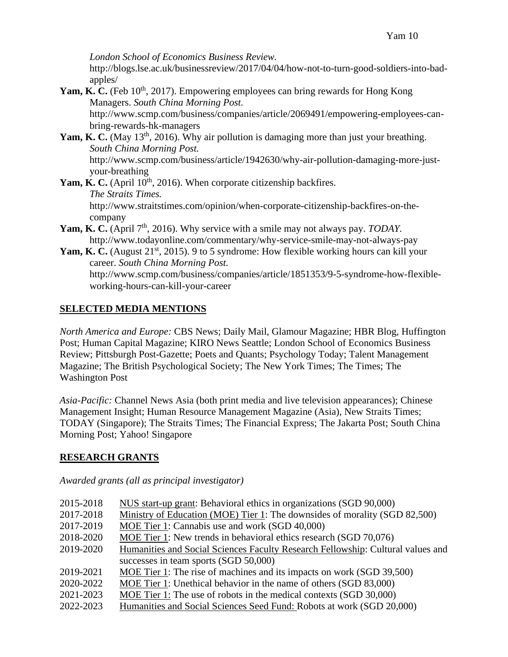*London School of Economics Business Review.*

http://blogs.lse.ac.uk/businessreview/2017/04/04/how-not-to-turn-good-soldiers-into-badapples/

Yam, K. C. (Feb 10<sup>th</sup>, 2017). Empowering employees can bring rewards for Hong Kong Managers. *South China Morning Post.*

http://www.scmp.com/business/companies/article/2069491/empowering-employees-canbring-rewards-hk-managers

- Yam, K. C. (May 13<sup>th</sup>, 2016). Why air pollution is damaging more than just your breathing. *South China Morning Post.* http://www.scmp.com/business/article/1942630/why-air-pollution-damaging-more-justyour-breathing
- **Yam, K. C.** (April 10<sup>th</sup>, 2016). When corporate citizenship backfires. *The Straits Times.* http://www.straitstimes.com/opinion/when-corporate-citizenship-backfires-on-thecompany
- **Yam, K. C.** (April 7<sup>th</sup>, 2016). Why service with a smile may not always pay. *TODAY*. http://www.todayonline.com/commentary/why-service-smile-may-not-always-pay
- Yam, K. C. (August 21<sup>st</sup>, 2015). 9 to 5 syndrome: How flexible working hours can kill your career. *South China Morning Post.* http://www.scmp.com/business/companies/article/1851353/9-5-syndrome-how-flexibleworking-hours-can-kill-your-career

# **SELECTED MEDIA MENTIONS**

*North America and Europe:* CBS News; Daily Mail, Glamour Magazine; HBR Blog, Huffington Post; Human Capital Magazine; KIRO News Seattle; London School of Economics Business Review; Pittsburgh Post-Gazette; Poets and Quants; Psychology Today; Talent Management Magazine; The British Psychological Society; The New York Times; The Times; The Washington Post

*Asia-Pacific:* Channel News Asia (both print media and live television appearances); Chinese Management Insight; Human Resource Management Magazine (Asia), New Straits Times; TODAY (Singapore); The Straits Times; The Financial Express; The Jakarta Post; South China Morning Post; Yahoo! Singapore

# **RESEARCH GRANTS**

# *Awarded grants (all as principal investigator)*

| 2015-2018 | NUS start-up grant: Behavioral ethics in organizations (SGD 90,000)             |
|-----------|---------------------------------------------------------------------------------|
| 2017-2018 | Ministry of Education (MOE) Tier 1: The downsides of morality (SGD 82,500)      |
| 2017-2019 | MOE Tier 1: Cannabis use and work (SGD 40,000)                                  |
| 2018-2020 | MOE Tier 1: New trends in behavioral ethics research (SGD 70,076)               |
| 2019-2020 | Humanities and Social Sciences Faculty Research Fellowship: Cultural values and |
|           | successes in team sports (SGD 50,000)                                           |
| 2019-2021 | MOE Tier 1: The rise of machines and its impacts on work (SGD 39,500)           |
| 2020-2022 | MOE Tier 1: Unethical behavior in the name of others (SGD 83,000)               |
| 2021-2023 | MOE Tier 1: The use of robots in the medical contexts (SGD 30,000)              |
| 2022-2023 | Humanities and Social Sciences Seed Fund: Robots at work (SGD 20,000)           |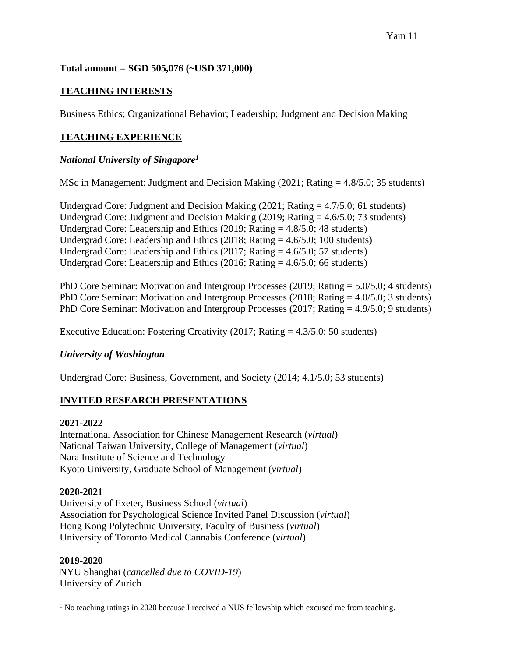# **Total amount = SGD 505,076 (~USD 371,000)**

# **TEACHING INTERESTS**

Business Ethics; Organizational Behavior; Leadership; Judgment and Decision Making

# **TEACHING EXPERIENCE**

# *National University of Singapore<sup>1</sup>*

MSc in Management: Judgment and Decision Making (2021; Rating = 4.8/5.0; 35 students)

Undergrad Core: Judgment and Decision Making  $(2021; Rating = 4.7/5.0; 61$  students) Undergrad Core: Judgment and Decision Making (2019; Rating = 4.6/5.0; 73 students) Undergrad Core: Leadership and Ethics (2019; Rating = 4.8/5.0; 48 students) Undergrad Core: Leadership and Ethics (2018; Rating = 4.6/5.0; 100 students) Undergrad Core: Leadership and Ethics (2017; Rating  $=$  4.6/5.0; 57 students) Undergrad Core: Leadership and Ethics (2016; Rating = 4.6/5.0; 66 students)

PhD Core Seminar: Motivation and Intergroup Processes (2019; Rating = 5.0/5.0; 4 students) PhD Core Seminar: Motivation and Intergroup Processes (2018; Rating = 4.0/5.0; 3 students) PhD Core Seminar: Motivation and Intergroup Processes (2017; Rating = 4.9/5.0; 9 students)

Executive Education: Fostering Creativity (2017; Rating = 4.3/5.0; 50 students)

# *University of Washington*

Undergrad Core: Business, Government, and Society (2014; 4.1/5.0; 53 students)

# **INVITED RESEARCH PRESENTATIONS**

# **2021-2022**

International Association for Chinese Management Research (*virtual*) National Taiwan University, College of Management (*virtual*) Nara Institute of Science and Technology Kyoto University, Graduate School of Management (*virtual*)

# **2020-2021**

University of Exeter, Business School (*virtual*) Association for Psychological Science Invited Panel Discussion (*virtual*) Hong Kong Polytechnic University, Faculty of Business (*virtual*) University of Toronto Medical Cannabis Conference (*virtual*)

# **2019-2020**

NYU Shanghai (*cancelled due to COVID-19*) University of Zurich

<sup>&</sup>lt;sup>1</sup> No teaching ratings in 2020 because I received a NUS fellowship which excused me from teaching.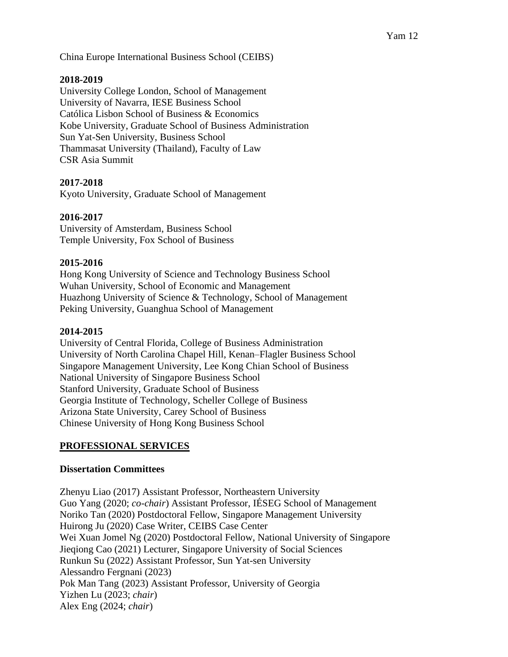China Europe International Business School (CEIBS)

### **2018-2019**

University College London, School of Management University of Navarra, IESE Business School Católica Lisbon School of Business & Economics Kobe University, Graduate School of Business Administration Sun Yat-Sen University, Business School Thammasat University (Thailand), Faculty of Law CSR Asia Summit

# **2017-2018**

Kyoto University, Graduate School of Management

### **2016-2017**

University of Amsterdam, Business School Temple University, Fox School of Business

#### **2015-2016**

Hong Kong University of Science and Technology Business School Wuhan University, School of Economic and Management Huazhong University of Science & Technology, School of Management Peking University, Guanghua School of Management

#### **2014-2015**

University of Central Florida, College of Business Administration University of North Carolina Chapel Hill, Kenan–Flagler Business School Singapore Management University, Lee Kong Chian School of Business National University of Singapore Business School Stanford University, Graduate School of Business Georgia Institute of Technology, Scheller College of Business Arizona State University, Carey School of Business Chinese University of Hong Kong Business School

# **PROFESSIONAL SERVICES**

#### **Dissertation Committees**

Zhenyu Liao (2017) Assistant Professor, Northeastern University Guo Yang (2020; *co-chair*) Assistant Professor, IÉSEG School of Management Noriko Tan (2020) Postdoctoral Fellow, Singapore Management University Huirong Ju (2020) Case Writer, CEIBS Case Center Wei Xuan Jomel Ng (2020) Postdoctoral Fellow, National University of Singapore Jieqiong Cao (2021) Lecturer, Singapore University of Social Sciences Runkun Su (2022) Assistant Professor, Sun Yat-sen University Alessandro Fergnani (2023) Pok Man Tang (2023) Assistant Professor, University of Georgia Yizhen Lu (2023; *chair*) Alex Eng (2024; *chair*)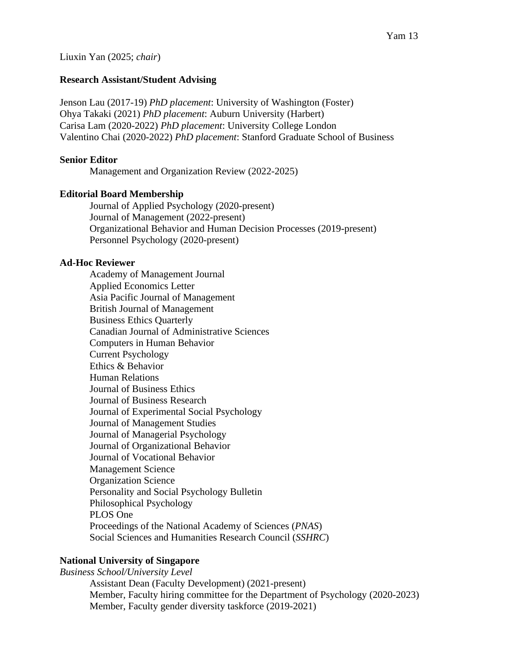Liuxin Yan (2025; *chair*)

### **Research Assistant/Student Advising**

Jenson Lau (2017-19) *PhD placement*: University of Washington (Foster) Ohya Takaki (2021) *PhD placement*: Auburn University (Harbert) Carisa Lam (2020-2022) *PhD placement*: University College London Valentino Chai (2020-2022) *PhD placement*: Stanford Graduate School of Business

### **Senior Editor**

Management and Organization Review (2022-2025)

# **Editorial Board Membership**

Journal of Applied Psychology (2020-present) Journal of Management (2022-present) Organizational Behavior and Human Decision Processes (2019-present) Personnel Psychology (2020-present)

#### **Ad-Hoc Reviewer**

Academy of Management Journal Applied Economics Letter Asia Pacific Journal of Management British Journal of Management Business Ethics Quarterly Canadian Journal of Administrative Sciences Computers in Human Behavior Current Psychology Ethics & Behavior Human Relations Journal of Business Ethics Journal of Business Research Journal of Experimental Social Psychology Journal of Management Studies Journal of Managerial Psychology Journal of Organizational Behavior Journal of Vocational Behavior Management Science Organization Science Personality and Social Psychology Bulletin Philosophical Psychology PLOS One Proceedings of the National Academy of Sciences (*PNAS*) Social Sciences and Humanities Research Council (*SSHRC*)

# **National University of Singapore**

*Business School/University Level* Assistant Dean (Faculty Development) (2021-present) Member, Faculty hiring committee for the Department of Psychology (2020-2023) Member, Faculty gender diversity taskforce (2019-2021)